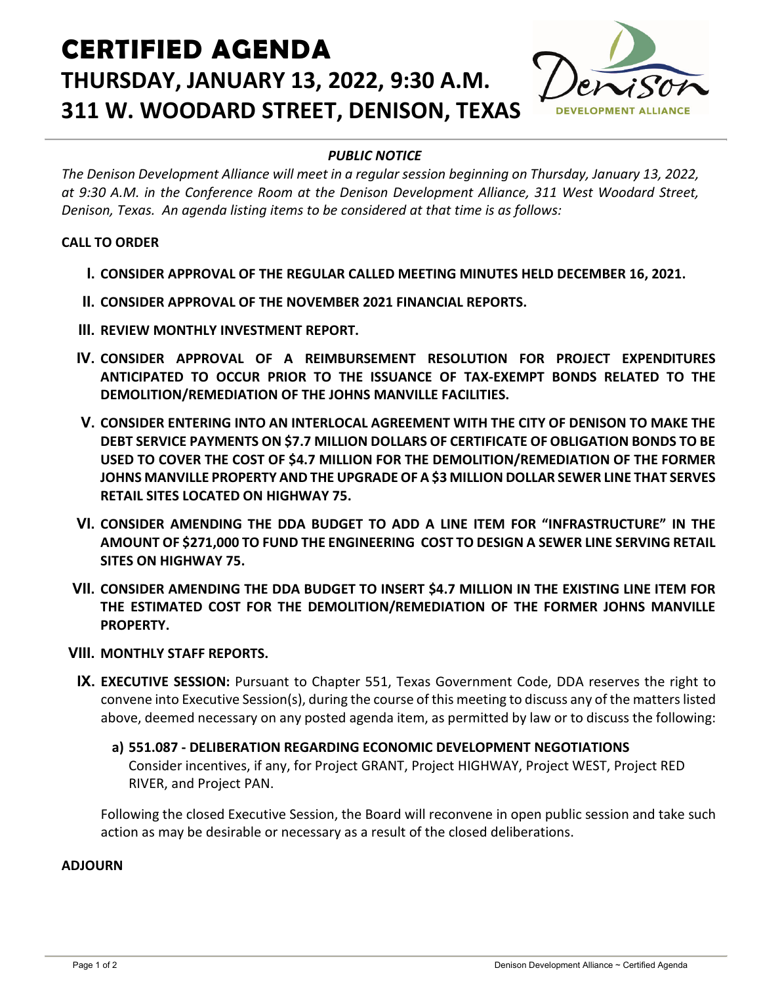# **CERTIFIED AGENDA THURSDAY, JANUARY 13, 2022, 9:30 A.M. 311 W. WOODARD STREET, DENISON, TEXAS**



### *PUBLIC NOTICE*

*The Denison Development Alliance will meet in a regular session beginning on Thursday, January 13, 2022, at 9:30 A.M. in the Conference Room at the Denison Development Alliance, 311 West Woodard Street, Denison, Texas. An agenda listing items to be considered at that time is as follows:*

#### **CALL TO ORDER**

- **I. CONSIDER APPROVAL OF THE REGULAR CALLED MEETING MINUTES HELD DECEMBER 16, 2021.**
- **II. CONSIDER APPROVAL OF THE NOVEMBER 2021 FINANCIAL REPORTS.**
- **III. REVIEW MONTHLY INVESTMENT REPORT.**
- **IV. CONSIDER APPROVAL OF A REIMBURSEMENT RESOLUTION FOR PROJECT EXPENDITURES ANTICIPATED TO OCCUR PRIOR TO THE ISSUANCE OF TAX-EXEMPT BONDS RELATED TO THE DEMOLITION/REMEDIATION OF THE JOHNS MANVILLE FACILITIES.**
- **V. CONSIDER ENTERING INTO AN INTERLOCAL AGREEMENT WITH THE CITY OF DENISON TO MAKE THE DEBT SERVICE PAYMENTS ON \$7.7 MILLION DOLLARS OF CERTIFICATE OF OBLIGATION BONDS TO BE USED TO COVER THE COST OF \$4.7 MILLION FOR THE DEMOLITION/REMEDIATION OF THE FORMER JOHNS MANVILLE PROPERTY AND THE UPGRADE OF A \$3 MILLION DOLLAR SEWER LINE THAT SERVES RETAIL SITES LOCATED ON HIGHWAY 75.**
- **VI. CONSIDER AMENDING THE DDA BUDGET TO ADD A LINE ITEM FOR "INFRASTRUCTURE" IN THE AMOUNT OF \$271,000 TO FUND THE ENGINEERING COST TO DESIGN A SEWER LINE SERVING RETAIL SITES ON HIGHWAY 75.**
- **VII. CONSIDER AMENDING THE DDA BUDGET TO INSERT \$4.7 MILLION IN THE EXISTING LINE ITEM FOR THE ESTIMATED COST FOR THE DEMOLITION/REMEDIATION OF THE FORMER JOHNS MANVILLE PROPERTY.**
- **VIII. MONTHLY STAFF REPORTS.**
- **IX. EXECUTIVE SESSION:** Pursuant to Chapter 551, Texas Government Code, DDA reserves the right to convene into Executive Session(s), during the course of this meeting to discuss any of the matters listed above, deemed necessary on any posted agenda item, as permitted by law or to discuss the following:
	- **a) 551.087 - DELIBERATION REGARDING ECONOMIC DEVELOPMENT NEGOTIATIONS** Consider incentives, if any, for Project GRANT, Project HIGHWAY, Project WEST, Project RED RIVER, and Project PAN.

Following the closed Executive Session, the Board will reconvene in open public session and take such action as may be desirable or necessary as a result of the closed deliberations.

#### **ADJOURN**